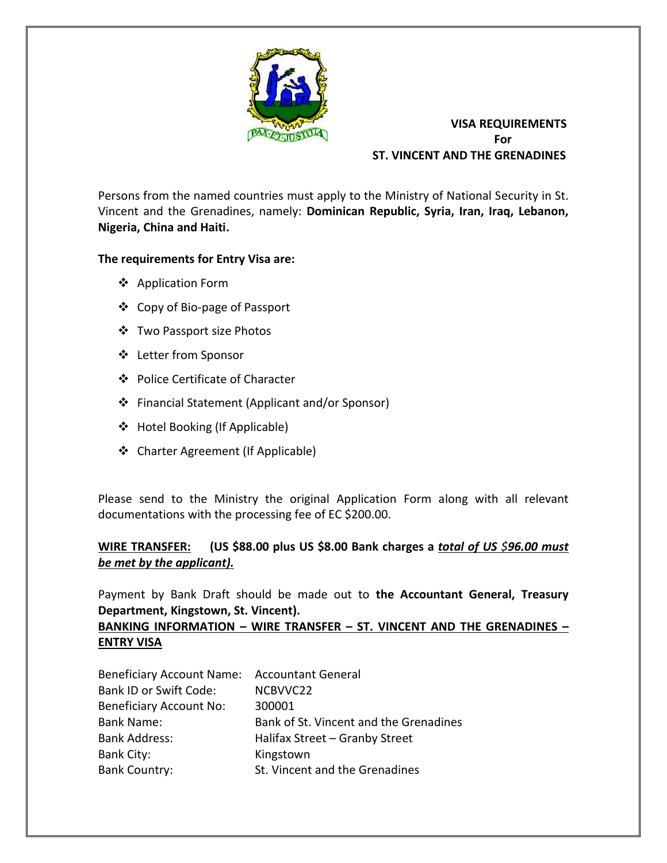

## **VISA REQUIREMENTS For** For  **ST. VINCENT AND THE GRENADINES**

Persons from the named countries must apply to the Ministry of National Security in St. Vincent and the Grenadines, namely: **Dominican Republic, Syria, Iran, Iraq, Lebanon, Nigeria, China and Haiti.**

## **The requirements for Entry Visa are:**

- ❖ Application Form
- ❖ Copy of Bio-page of Passport
- ❖ Two Passport size Photos
- ❖ Letter from Sponsor
- ❖ Police Certificate of Character
- ❖ Financial Statement (Applicant and/or Sponsor)
- ❖ Hotel Booking (If Applicable)
- ❖ Charter Agreement (If Applicable)

Please send to the Ministry the original Application Form along with all relevant documentations with the processing fee of EC \$200.00.

## **WIRE TRANSFER: (US \$88.00 plus US \$8.00 Bank charges a** *total of US \$96.00 must be met by the applicant).*

Payment by Bank Draft should be made out to **the Accountant General, Treasury Department, Kingstown, St. Vincent).** 

## **BANKING INFORMATION – WIRE TRANSFER – ST. VINCENT AND THE GRENADINES – ENTRY VISA**

| Beneficiary Account Name: Accountant General |                                        |
|----------------------------------------------|----------------------------------------|
| <b>Bank ID or Swift Code:</b>                | NCBVVC22                               |
| <b>Beneficiary Account No:</b>               | 300001                                 |
| <b>Bank Name:</b>                            | Bank of St. Vincent and the Grenadines |
| <b>Bank Address:</b>                         | Halifax Street - Granby Street         |
| <b>Bank City:</b>                            | Kingstown                              |
| <b>Bank Country:</b>                         | St. Vincent and the Grenadines         |